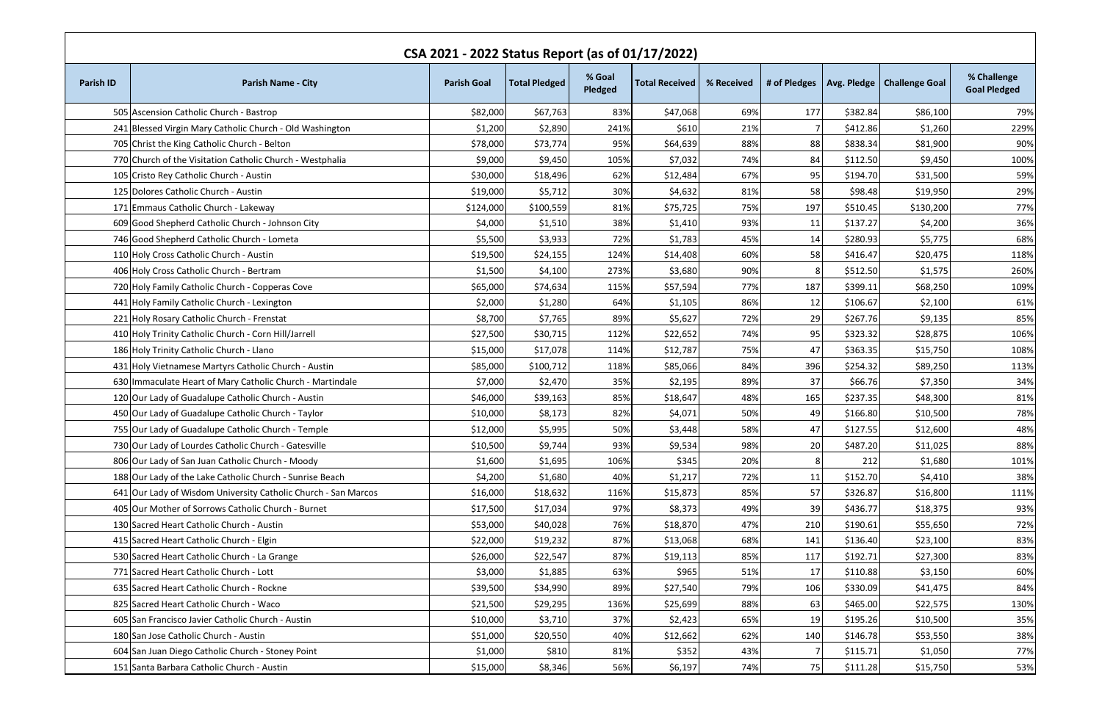| CSA 2021 - 2022 Status Report (as of 01/17/2022) |                                                                |                    |                      |                   |                       |            |     |          |                                             |                                    |
|--------------------------------------------------|----------------------------------------------------------------|--------------------|----------------------|-------------------|-----------------------|------------|-----|----------|---------------------------------------------|------------------------------------|
| <b>Parish ID</b>                                 | <b>Parish Name - City</b>                                      | <b>Parish Goal</b> | <b>Total Pledged</b> | % Goal<br>Pledged | <b>Total Received</b> | % Received |     |          | # of Pledges   Avg. Pledge   Challenge Goal | % Challenge<br><b>Goal Pledged</b> |
|                                                  | 505 Ascension Catholic Church - Bastrop                        | \$82,000           | \$67,763             | 83%               | \$47,068              | 69%        | 177 | \$382.84 | \$86,100                                    | 79%                                |
|                                                  | 241 Blessed Virgin Mary Catholic Church - Old Washington       | \$1,200            | \$2,890              | 241%              | \$610                 | 21%        |     | \$412.86 | \$1,260                                     | 229%                               |
|                                                  | 705 Christ the King Catholic Church - Belton                   | \$78,000           | \$73,774             | 95%               | \$64,639              | 88%        | 88  | \$838.34 | \$81,900                                    | 90%                                |
|                                                  | 770 Church of the Visitation Catholic Church - Westphalia      | \$9,000            | \$9,450              | 105%              | \$7,032               | 74%        | 84  | \$112.50 | \$9,450                                     | 100%                               |
|                                                  | 105 Cristo Rey Catholic Church - Austin                        | \$30,000           | \$18,496             | 62%               | \$12,484              | 67%        | 95  | \$194.70 | \$31,500                                    | 59%                                |
|                                                  | 125 Dolores Catholic Church - Austin                           | \$19,000           | \$5,712              | 30%               | \$4,632               | 81%        | 58  | \$98.48  | \$19,950                                    | 29%                                |
|                                                  | 171 Emmaus Catholic Church - Lakeway                           | \$124,000          | \$100,559            | 81%               | \$75,725              | 75%        | 197 | \$510.45 | \$130,200                                   | 77%                                |
|                                                  | 609 Good Shepherd Catholic Church - Johnson City               | \$4,000            | \$1,510              | 38%               | \$1,410               | 93%        | 11  | \$137.27 | \$4,200                                     | 36%                                |
|                                                  | 746 Good Shepherd Catholic Church - Lometa                     | \$5,500            | \$3,933              | 72%               | \$1,783               | 45%        | 14  | \$280.93 | \$5,775                                     | 68%                                |
|                                                  | 110 Holy Cross Catholic Church - Austin                        | \$19,500           | \$24,155             | 124%              | \$14,408              | 60%        | 58  | \$416.47 | \$20,475                                    | 118%                               |
|                                                  | 406 Holy Cross Catholic Church - Bertram                       | \$1,500            | \$4,100              | 273%              | \$3,680               | 90%        | 81  | \$512.50 | \$1,575                                     | 260%                               |
|                                                  | 720 Holy Family Catholic Church - Copperas Cove                | \$65,000           | \$74,634             | 115%              | \$57,594              | 77%        | 187 | \$399.11 | \$68,250                                    | 109%                               |
|                                                  | 441 Holy Family Catholic Church - Lexington                    | \$2,000            | \$1,280              | 64%               | \$1,105               | 86%        | 12  | \$106.67 | \$2,100                                     | 61%                                |
|                                                  | 221 Holy Rosary Catholic Church - Frenstat                     | \$8,700            | \$7,765              | 89%               | \$5,627               | 72%        | 29  | \$267.76 | \$9,135                                     | 85%                                |
|                                                  | 410 Holy Trinity Catholic Church - Corn Hill/Jarrell           | \$27,500           | \$30,715             | 112%              | \$22,652              | 74%        | 95  | \$323.32 | \$28,875                                    | 106%                               |
|                                                  | 186 Holy Trinity Catholic Church - Llano                       | \$15,000           | \$17,078             | 114%              | \$12,787              | 75%        | 47  | \$363.35 | \$15,750                                    | 108%                               |
|                                                  | 431 Holy Vietnamese Martyrs Catholic Church - Austin           | \$85,000           | \$100,712            | 118%              | \$85,066              | 84%        | 396 | \$254.32 | \$89,250                                    | 113%                               |
|                                                  | 630 Immaculate Heart of Mary Catholic Church - Martindale      | \$7,000            | \$2,470              | 35%               | \$2,195               | 89%        | 37  | \$66.76  | \$7,350                                     | 34%                                |
|                                                  | 120 Our Lady of Guadalupe Catholic Church - Austin             | \$46,000           | \$39,163             | 85%               | \$18,647              | 48%        | 165 | \$237.35 | \$48,300                                    | 81%                                |
|                                                  | 450 Our Lady of Guadalupe Catholic Church - Taylor             | \$10,000           | \$8,173              | 82%               | \$4,071               | 50%        | 49  | \$166.80 | \$10,500                                    | 78%                                |
|                                                  | 755 Our Lady of Guadalupe Catholic Church - Temple             | \$12,000           | \$5,995              | 50%               | \$3,448               | 58%        | 47  | \$127.55 | \$12,600                                    | 48%                                |
|                                                  | 730 Our Lady of Lourdes Catholic Church - Gatesville           | \$10,500           | \$9,744              | 93%               | \$9,534               | 98%        | 20  | \$487.20 | \$11,025                                    | 88%                                |
|                                                  | 806 Our Lady of San Juan Catholic Church - Moody               | \$1,600            | \$1,695              | 106%              | \$345                 | 20%        |     | 212      | \$1,680                                     | 101%                               |
|                                                  | 188 Our Lady of the Lake Catholic Church - Sunrise Beach       | \$4,200            | \$1,680              | 40%               | \$1,217               | 72%        | 11  | \$152.70 | \$4,410                                     | 38%                                |
|                                                  | 641 Our Lady of Wisdom University Catholic Church - San Marcos | \$16,000           | \$18,632             | 116%              | \$15,873              | 85%        | 57  | \$326.87 | \$16,800                                    | 111%                               |
|                                                  | 405 Our Mother of Sorrows Catholic Church - Burnet             | \$17,500           | \$17,034             | 97%               | \$8,373               | 49%        | 39  | \$436.77 | \$18,375                                    | 93%                                |
|                                                  | 130 Sacred Heart Catholic Church - Austin                      | \$53,000           | \$40,028             | 76%               | \$18,870              | 47%        | 210 | \$190.61 | \$55,650                                    | 72%                                |
|                                                  | 415 Sacred Heart Catholic Church - Elgin                       | \$22,000           | \$19,232             | 87%               | \$13,068              | 68%        | 141 | \$136.40 | \$23,100                                    | 83%                                |
|                                                  | 530 Sacred Heart Catholic Church - La Grange                   | \$26,000           | \$22,547             | 87%               | \$19,113              | 85%        | 117 | \$192.71 | \$27,300                                    | 83%                                |
|                                                  | 771 Sacred Heart Catholic Church - Lott                        | \$3,000            | \$1,885              | 63%               | \$965                 | 51%        | 17  | \$110.88 | \$3,150                                     | 60%                                |
|                                                  | 635 Sacred Heart Catholic Church - Rockne                      | \$39,500           | \$34,990             | 89%               | \$27,540              | 79%        | 106 | \$330.09 | \$41,475                                    | 84%                                |
|                                                  | 825 Sacred Heart Catholic Church - Waco                        | \$21,500           | \$29,295             | 136%              | \$25,699              | 88%        | 63  | \$465.00 | \$22,575                                    | 130%                               |
|                                                  | 605 San Francisco Javier Catholic Church - Austin              | \$10,000           | \$3,710              | 37%               | \$2,423               | 65%        | 19  | \$195.26 | \$10,500                                    | 35%                                |
|                                                  | 180 San Jose Catholic Church - Austin                          | \$51,000           | \$20,550             | 40%               | \$12,662              | 62%        | 140 | \$146.78 | \$53,550                                    | 38%                                |
|                                                  | 604 San Juan Diego Catholic Church - Stoney Point              | \$1,000            | \$810                | 81%               | \$352                 | 43%        |     | \$115.71 | \$1,050                                     | 77%                                |
|                                                  | 151 Santa Barbara Catholic Church - Austin                     | \$15,000           | \$8,346              | 56%               | \$6,197               | 74%        | 75  | \$111.28 | \$15,750                                    | 53%                                |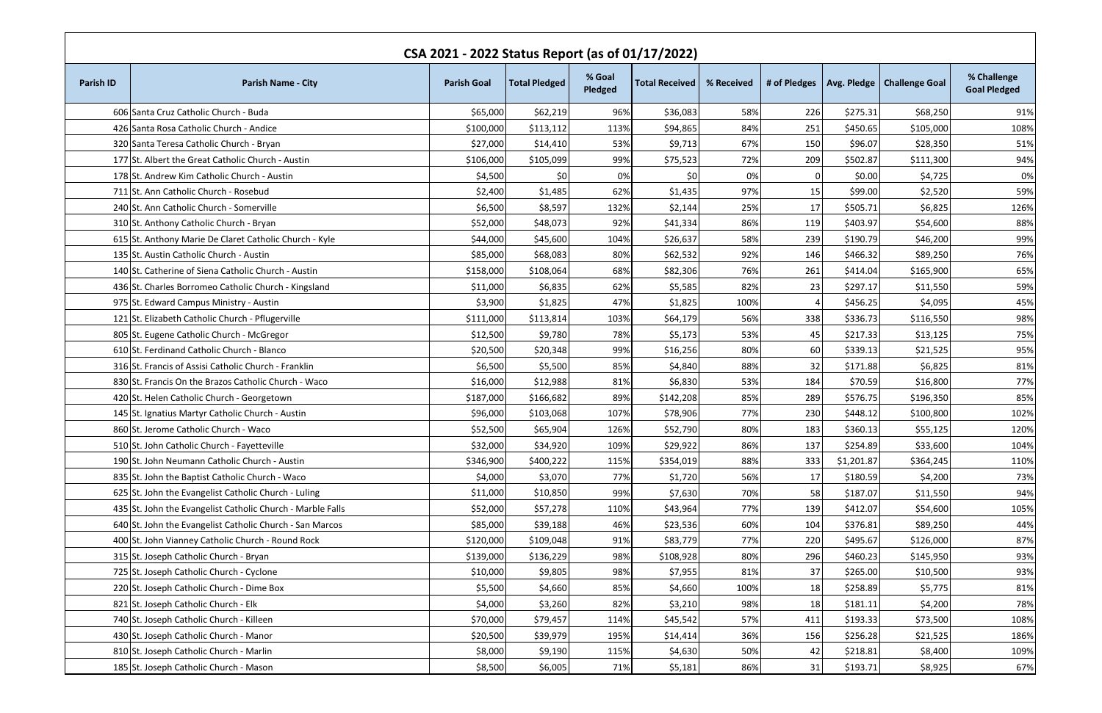| CSA 2021 - 2022 Status Report (as of 01/17/2022) |                                                            |                    |                      |                   |                       |            |              |            |                              |                                    |
|--------------------------------------------------|------------------------------------------------------------|--------------------|----------------------|-------------------|-----------------------|------------|--------------|------------|------------------------------|------------------------------------|
| <b>Parish ID</b>                                 | <b>Parish Name - City</b>                                  | <b>Parish Goal</b> | <b>Total Pledged</b> | % Goal<br>Pledged | <b>Total Received</b> | % Received | # of Pledges |            | Avg. Pledge   Challenge Goal | % Challenge<br><b>Goal Pledged</b> |
|                                                  | 606 Santa Cruz Catholic Church - Buda                      | \$65,000           | \$62,219             | 96%               | \$36,083              | 58%        | 226          | \$275.31   | \$68,250                     | 91%                                |
|                                                  | 426 Santa Rosa Catholic Church - Andice                    | \$100,000          | \$113,112            | 113%              | \$94,865              | 84%        | 251          | \$450.65   | \$105,000                    | 108%                               |
|                                                  | 320 Santa Teresa Catholic Church - Bryan                   | \$27,000           | \$14,410             | 53%               | \$9,713               | 67%        | 150          | \$96.07    | \$28,350                     | 51%                                |
|                                                  | 177 St. Albert the Great Catholic Church - Austin          | \$106,000          | \$105,099            | 99%               | \$75,523              | 72%        | 209          | \$502.87   | \$111,300                    | 94%                                |
|                                                  | 178 St. Andrew Kim Catholic Church - Austin                | \$4,500            | \$0                  | 0%                | -\$0l                 | 0%         | 0            | \$0.00     | \$4,725                      | 0%                                 |
|                                                  | 711 St. Ann Catholic Church - Rosebud                      | \$2,400            | \$1,485              | 62%               | \$1,435               | 97%        | 15           | \$99.00    | \$2,520                      | 59%                                |
|                                                  | 240 St. Ann Catholic Church - Somerville                   | \$6,500            | \$8,597              | 132%              | \$2,144               | 25%        | 17           | \$505.71   | \$6,825                      | 126%                               |
|                                                  | 310 St. Anthony Catholic Church - Bryan                    | \$52,000           | \$48,073             | 92%               | \$41,334              | 86%        | 119          | \$403.97   | \$54,600                     | 88%                                |
|                                                  | 615 St. Anthony Marie De Claret Catholic Church - Kyle     | \$44,000           | \$45,600             | 104%              | \$26,637              | 58%        | 239          | \$190.79   | \$46,200                     | 99%                                |
|                                                  | 135 St. Austin Catholic Church - Austin                    | \$85,000           | \$68,083             | 80%               | \$62,532              | 92%        | 146          | \$466.32   | \$89,250                     | 76%                                |
|                                                  | 140 St. Catherine of Siena Catholic Church - Austin        | \$158,000          | \$108,064            | 68%               | \$82,306              | 76%        | 261          | \$414.04   | \$165,900                    | 65%                                |
|                                                  | 436 St. Charles Borromeo Catholic Church - Kingsland       | \$11,000           | \$6,835              | 62%               | \$5,585               | 82%        | 23           | \$297.17   | \$11,550                     | 59%                                |
|                                                  | 975 St. Edward Campus Ministry - Austin                    | \$3,900            | \$1,825              | 47%               | \$1,825               | 100%       |              | \$456.25   | \$4,095                      | 45%                                |
|                                                  | 121 St. Elizabeth Catholic Church - Pflugerville           | \$111,000          | \$113,814            | 103%              | \$64,179              | 56%        | 338          | \$336.73   | \$116,550                    | 98%                                |
|                                                  | 805 St. Eugene Catholic Church - McGregor                  | \$12,500           | \$9,780              | 78%               | \$5,173               | 53%        | 45           | \$217.33   | \$13,125                     | 75%                                |
|                                                  | 610 St. Ferdinand Catholic Church - Blanco                 | \$20,500           | \$20,348             | 99%               | \$16,256              | 80%        | 60           | \$339.13   | \$21,525                     | 95%                                |
|                                                  | 316 St. Francis of Assisi Catholic Church - Franklin       | \$6,500            | \$5,500              | 85%               | \$4,840               | 88%        | 32           | \$171.88   | \$6,825                      | 81%                                |
|                                                  | 830 St. Francis On the Brazos Catholic Church - Waco       | \$16,000           | \$12,988             | 81%               | \$6,830               | 53%        | 184          | \$70.59    | \$16,800                     | 77%                                |
|                                                  | 420 St. Helen Catholic Church - Georgetown                 | \$187,000          | \$166,682            | 89%               | \$142,208             | 85%        | 289          | \$576.75   | \$196,350                    | 85%                                |
|                                                  | 145 St. Ignatius Martyr Catholic Church - Austin           | \$96,000           | \$103,068            | 107%              | \$78,906              | 77%        | 230          | \$448.12   | \$100,800                    | 102%                               |
|                                                  | 860 St. Jerome Catholic Church - Waco                      | \$52,500           | \$65,904             | 126%              | \$52,790              | 80%        | 183          | \$360.13   | \$55,125                     | 120%                               |
|                                                  | 510 St. John Catholic Church - Fayetteville                | \$32,000           | \$34,920             | 109%              | \$29,922              | 86%        | 137          | \$254.89   | \$33,600                     | 104%                               |
|                                                  | 190 St. John Neumann Catholic Church - Austin              | \$346,900          | \$400,222]           | 115%              | \$354,019             | 88%        | 333          | \$1,201.87 | \$364,245                    | 110%                               |
|                                                  | 835 St. John the Baptist Catholic Church - Waco            | \$4,000            | \$3,070              | 77%               | \$1,720               | 56%        | 17           | \$180.59   | \$4,200                      | 73%                                |
|                                                  | 625 St. John the Evangelist Catholic Church - Luling       | \$11,000           | \$10,850             | 99%               | \$7,630               | 70%        | 58           | \$187.07   | \$11,550                     | 94%                                |
|                                                  | 435 St. John the Evangelist Catholic Church - Marble Falls | \$52,000           | \$57,278             | 110%              | \$43,964              | 77%        | 139          | \$412.07   | \$54,600                     | 105%                               |
|                                                  | 640 St. John the Evangelist Catholic Church - San Marcos   | \$85,000           | \$39,188             | 46%               | \$23,536              | 60%        | 104          | \$376.81   | \$89,250                     | 44%                                |
|                                                  | 400 St. John Vianney Catholic Church - Round Rock          | \$120,000          | \$109,048            | 91%               | \$83,779              | 77%        | 220          | \$495.67   | \$126,000                    | 87%                                |
|                                                  | 315 St. Joseph Catholic Church - Bryan                     | \$139,000          | \$136,229            | 98%               | \$108,928             | 80%        | 296          | \$460.23   | \$145,950                    | 93%                                |
|                                                  | 725 St. Joseph Catholic Church - Cyclone                   | \$10,000           | \$9,805              | 98%               | \$7,955               | 81%        | 37           | \$265.00   | \$10,500                     | 93%                                |
|                                                  | 220 St. Joseph Catholic Church - Dime Box                  | \$5,500            | \$4,660              | 85%               | \$4,660               | 100%       | 18           | \$258.89   | \$5,775                      | 81%                                |
|                                                  | 821 St. Joseph Catholic Church - Elk                       | \$4,000            | \$3,260              | 82%               | \$3,210               | 98%        | 18           | \$181.11   | \$4,200                      | 78%                                |
|                                                  | 740 St. Joseph Catholic Church - Killeen                   | \$70,000           | \$79,457             | 114%              | \$45,542              | 57%        | 411          | \$193.33   | \$73,500                     | 108%                               |
|                                                  | 430 St. Joseph Catholic Church - Manor                     | \$20,500           | \$39,979             | 195%              | \$14,414              | 36%        | 156          | \$256.28   | \$21,525                     | 186%                               |
|                                                  | 810 St. Joseph Catholic Church - Marlin                    | \$8,000            | \$9,190              | 115%              | \$4,630               | 50%        | 42           | \$218.81   | \$8,400                      | 109%                               |
|                                                  | 185 St. Joseph Catholic Church - Mason                     | \$8,500            | \$6,005              | 71%               | \$5,181               | 86%        | 31           | \$193.71   | \$8,925                      | 67%                                |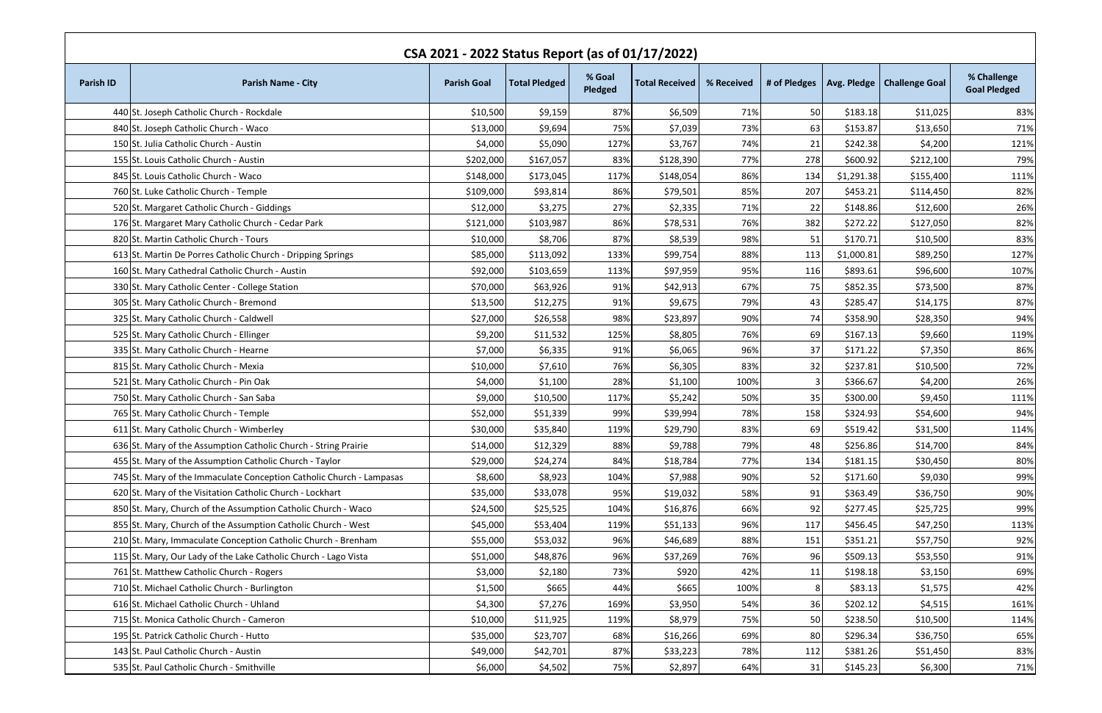| CSA 2021 - 2022 Status Report (as of 01/17/2022) |                                                                      |                    |                      |                   |                       |            |                |            |                                             |                                    |
|--------------------------------------------------|----------------------------------------------------------------------|--------------------|----------------------|-------------------|-----------------------|------------|----------------|------------|---------------------------------------------|------------------------------------|
| <b>Parish ID</b>                                 | <b>Parish Name - City</b>                                            | <b>Parish Goal</b> | <b>Total Pledged</b> | % Goal<br>Pledged | <b>Total Received</b> | % Received |                |            | # of Pledges   Avg. Pledge   Challenge Goal | % Challenge<br><b>Goal Pledged</b> |
|                                                  | 440 St. Joseph Catholic Church - Rockdale                            | \$10,500           | \$9,159              | 87%               | \$6,509               | 71%        | 50             | \$183.18   | \$11,025                                    | 83%                                |
|                                                  | 840 St. Joseph Catholic Church - Waco                                | \$13,000           | \$9,694              | 75%               | \$7,039               | 73%        | 63             | \$153.87   | \$13,650                                    | 71%                                |
|                                                  | 150 St. Julia Catholic Church - Austin                               | \$4,000            | \$5,090              | 127%              | \$3,767               | 74%        | 21             | \$242.38   | \$4,200                                     | 121%                               |
|                                                  | 155 St. Louis Catholic Church - Austin                               | \$202,000          | \$167,057            | 83%               | \$128,390             | 77%        | 278            | \$600.92]  | \$212,100                                   | 79%                                |
|                                                  | 845 St. Louis Catholic Church - Waco                                 | \$148,000          | \$173,045            | 117%              | \$148,054             | 86%        | 134            | \$1,291.38 | \$155,400                                   | 111%                               |
|                                                  | 760 St. Luke Catholic Church - Temple                                | \$109,000          | \$93,814             | 86%               | \$79,501              | 85%        | 207            | \$453.21   | \$114,450                                   | 82%                                |
|                                                  | 520 St. Margaret Catholic Church - Giddings                          | \$12,000           | \$3,275              | 27%               | \$2,335               | 71%        | 22             | \$148.86   | \$12,600                                    | 26%                                |
|                                                  | 176 St. Margaret Mary Catholic Church - Cedar Park                   | \$121,000          | \$103,987            | 86%               | \$78,531              | 76%        | 382            | \$272.22   | \$127,050                                   | 82%                                |
|                                                  | 820 St. Martin Catholic Church - Tours                               | \$10,000           | \$8,706              | 87%               | \$8,539               | 98%        | 51             | \$170.71   | \$10,500                                    | 83%                                |
|                                                  | 613 St. Martin De Porres Catholic Church - Dripping Springs          | \$85,000           | \$113,092            | 133%              | \$99,754              | 88%        | 113            | \$1,000.81 | \$89,250                                    | 127%                               |
|                                                  | 160 St. Mary Cathedral Catholic Church - Austin                      | \$92,000           | \$103,659            | 113%              | \$97,959              | 95%        | 116            | \$893.61   | \$96,600                                    | 107%                               |
|                                                  | 330 St. Mary Catholic Center - College Station                       | \$70,000           | \$63,926             | 91%               | \$42,913              | 67%        | 75             | \$852.35   | \$73,500                                    | 87%                                |
|                                                  | 305 St. Mary Catholic Church - Bremond                               | \$13,500           | \$12,275             | 91%               | \$9,675               | 79%        | 43             | \$285.47   | \$14,175                                    | 87%                                |
|                                                  | 325 St. Mary Catholic Church - Caldwell                              | \$27,000           | \$26,558             | 98%               | \$23,897              | 90%        | 74             | \$358.90   | \$28,350                                    | 94%                                |
|                                                  | 525 St. Mary Catholic Church - Ellinger                              | \$9,200            | \$11,532             | 125%              | \$8,805               | 76%        | 69             | \$167.13   | \$9,660                                     | 119%                               |
|                                                  | 335 St. Mary Catholic Church - Hearne                                | \$7,000            | \$6,335              | 91%               | \$6,065               | 96%        | 37             | \$171.22   | \$7,350                                     | 86%                                |
|                                                  | 815 St. Mary Catholic Church - Mexia                                 | \$10,000           | \$7,610              | 76%               | \$6,305               | 83%        | 32             | \$237.81   | \$10,500                                    | 72%                                |
|                                                  | 521 St. Mary Catholic Church - Pin Oak                               | \$4,000            | \$1,100              | 28%               | \$1,100               | 100%       |                | \$366.67   | \$4,200                                     | 26%                                |
|                                                  | 750 St. Mary Catholic Church - San Saba                              | \$9,000            | \$10,500             | 117%              | \$5,242               | 50%        | 35             | \$300.00   | \$9,450                                     | 111%                               |
|                                                  | 765 St. Mary Catholic Church - Temple                                | \$52,000           | \$51,339             | 99%               | \$39,994              | 78%        | 158            | \$324.93   | \$54,600                                    | 94%                                |
|                                                  | 611 St. Mary Catholic Church - Wimberley                             | \$30,000           | \$35,840             | 119%              | \$29,790              | 83%        | 69             | \$519.42   | \$31,500                                    | 114%                               |
|                                                  | 636 St. Mary of the Assumption Catholic Church - String Prairie      | \$14,000           | \$12,329             | 88%               | \$9,788               | 79%        | 48             | \$256.86   | \$14,700                                    | 84%                                |
|                                                  | 455 St. Mary of the Assumption Catholic Church - Taylor              | \$29,000           | \$24,274             | 84%               | \$18,784              | 77%        | 134            | \$181.15   | \$30,450                                    | 80%                                |
|                                                  | 745 St. Mary of the Immaculate Conception Catholic Church - Lampasas | \$8,600            | \$8,923              | 104%              | \$7,988               | 90%        | 52             | \$171.60   | \$9,030                                     | 99%                                |
|                                                  | 620 St. Mary of the Visitation Catholic Church - Lockhart            | \$35,000           | \$33,078             | 95%               | \$19,032              | 58%        | 91             | \$363.49   | \$36,750                                    | 90%                                |
|                                                  | 850 St. Mary, Church of the Assumption Catholic Church - Waco        | \$24,500           | \$25,525             | 104%              | \$16,876              | 66%        | 92             | \$277.45   | \$25,725                                    | 99%                                |
|                                                  | 855 St. Mary, Church of the Assumption Catholic Church - West        | \$45,000           | \$53,404             | 119%              | \$51,133              | 96%        | 117            | \$456.45   | \$47,250                                    | 113%                               |
|                                                  | 210 St. Mary, Immaculate Conception Catholic Church - Brenham        | \$55,000           | \$53,032             | 96%               | \$46,689              | 88%        | 151            | \$351.21   | \$57,750                                    | 92%                                |
|                                                  | 115 St. Mary, Our Lady of the Lake Catholic Church - Lago Vista      | \$51,000           | \$48,876             | 96%               | \$37,269              | 76%        | 96             | \$509.13   | \$53,550                                    | 91%                                |
|                                                  | 761 St. Matthew Catholic Church - Rogers                             | \$3,000            | \$2,180              | 73%               | \$920                 | 42%        | 11             | \$198.18   | \$3,150                                     | 69%                                |
|                                                  | 710 St. Michael Catholic Church - Burlington                         | \$1,500            | \$665                | 44%               | \$665                 | 100%       | 8 <sup>1</sup> | \$83.13    | \$1,575                                     | 42%                                |
|                                                  | 616 St. Michael Catholic Church - Uhland                             | \$4,300            | \$7,276              | 169%              | \$3,950               | 54%        | 36             | \$202.12   | \$4,515                                     | 161%                               |
|                                                  | 715 St. Monica Catholic Church - Cameron                             | \$10,000           | \$11,925             | 119%              | \$8,979               | 75%        | 50             | \$238.50   | \$10,500                                    | 114%                               |
|                                                  | 195 St. Patrick Catholic Church - Hutto                              | \$35,000           | \$23,707             | 68%               | \$16,266              | 69%        | 80             | \$296.34   | \$36,750                                    | 65%                                |
|                                                  | 143 St. Paul Catholic Church - Austin                                | \$49,000           | \$42,701             | 87%               | \$33,223              | 78%        | 112            | \$381.26   | \$51,450                                    | 83%                                |
|                                                  | 535 St. Paul Catholic Church - Smithville                            | \$6,000            | \$4,502              | 75%               | \$2,897               | 64%        | 31             | \$145.23   | \$6,300                                     | 71%                                |